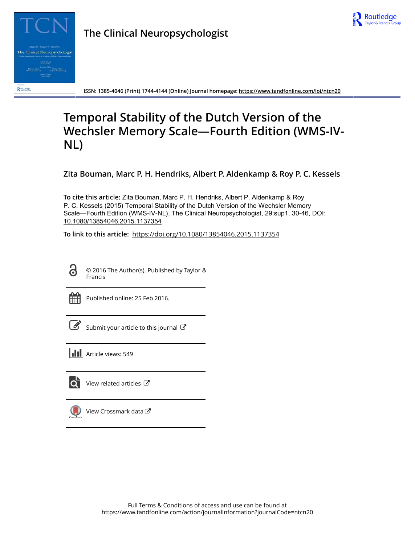

**ISSN: 1385-4046 (Print) 1744-4144 (Online) Journal homepage:<https://www.tandfonline.com/loi/ntcn20>**

# **Temporal Stability of the Dutch Version of the Wechsler Memory Scale—Fourth Edition (WMS-IV-NL)**

**Zita Bouman, Marc P. H. Hendriks, Albert P. Aldenkamp & Roy P. C. Kessels**

**To cite this article:** Zita Bouman, Marc P. H. Hendriks, Albert P. Aldenkamp & Roy P. C. Kessels (2015) Temporal Stability of the Dutch Version of the Wechsler Memory Scale—Fourth Edition (WMS-IV-NL), The Clinical Neuropsychologist, 29:sup1, 30-46, DOI: [10.1080/13854046.2015.1137354](https://www.tandfonline.com/action/showCitFormats?doi=10.1080/13854046.2015.1137354)

**To link to this article:** <https://doi.org/10.1080/13854046.2015.1137354>



© 2016 The Author(s). Published by Taylor & Francis



Published online: 25 Feb 2016.

[Submit your article to this journal](https://www.tandfonline.com/action/authorSubmission?journalCode=ntcn20&show=instructions)  $\mathbb{Z}$ 





[View related articles](https://www.tandfonline.com/doi/mlt/10.1080/13854046.2015.1137354) C



[View Crossmark data](http://crossmark.crossref.org/dialog/?doi=10.1080/13854046.2015.1137354&domain=pdf&date_stamp=2016-02-25)<sup>で</sup>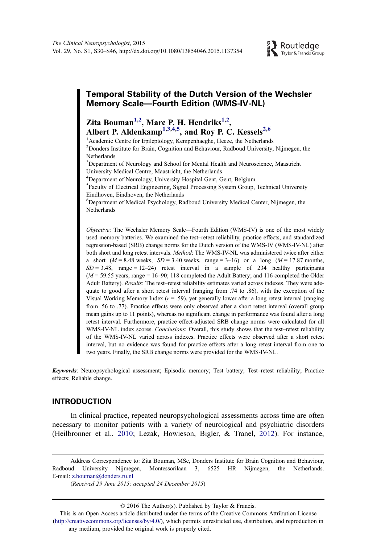# Temporal Stability of the Dutch Version of the Wechsler Memory Scale—Fourth Edition (WMS-IV-NL)

# Zita Bouman<sup>1,2</sup>, Marc P. H. Hendriks<sup>1,2</sup>, Albert P. Aldenkamp<sup>1,3,4,5</sup>, and Roy P. C. Kessels<sup>2,6</sup>

<sup>1</sup> Academic Centre for Epileptology, Kempenhaeghe, Heeze, the Netherlands <sup>2</sup>Donders Institute for Brain, Cognition and Behaviour, Radboud University, Nijmegen, the Netherlands

<sup>3</sup>Department of Neurology and School for Mental Health and Neuroscience, Maastricht University Medical Centre, Maastricht, the Netherlands

4 Department of Neurology, University Hospital Gent, Gent, Belgium

<sup>5</sup>Faculty of Electrical Engineering, Signal Processing System Group, Technical University Eindhoven, Eindhoven, the Netherlands

6 Department of Medical Psychology, Radboud University Medical Center, Nijmegen, the Netherlands

Objective: The Wechsler Memory Scale—Fourth Edition (WMS-IV) is one of the most widely used memory batteries. We examined the test–retest reliability, practice effects, and standardized regression-based (SRB) change norms for the Dutch version of the WMS-IV (WMS-IV-NL) after both short and long retest intervals. Method: The WMS-IV-NL was administered twice after either a short ( $M = 8.48$  weeks,  $SD = 3.40$  weeks, range  $= 3-16$ ) or a long ( $M = 17.87$  months,  $SD = 3.48$ , range = 12-24) retest interval in a sample of 234 healthy participants  $(M = 59.55 \text{ years}, \text{range} = 16-90; 118 \text{ completed the Adult battery}; \text{and } 116 \text{ completed the Older}$ Adult Battery). Results: The test–retest reliability estimates varied across indexes. They were adequate to good after a short retest interval (ranging from .74 to .86), with the exception of the Visual Working Memory Index ( $r = .59$ ), yet generally lower after a long retest interval (ranging from .56 to .77). Practice effects were only observed after a short retest interval (overall group mean gains up to 11 points), whereas no significant change in performance was found after a long retest interval. Furthermore, practice effect-adjusted SRB change norms were calculated for all WMS-IV-NL index scores. Conclusions: Overall, this study shows that the test–retest reliability of the WMS-IV-NL varied across indexes. Practice effects were observed after a short retest interval, but no evidence was found for practice effects after a long retest interval from one to two years. Finally, the SRB change norms were provided for the WMS-IV-NL.

Keywords: Neuropsychological assessment; Episodic memory; Test battery; Test–retest reliability; Practice effects; Reliable change.

## INTRODUCTION

In clinical practice, repeated neuropsychological assessments across time are often necessary to monitor patients with a variety of neurological and psychiatric disorders (Heilbronner et al., [2010](#page-16-0); Lezak, Howieson, Bigler, & Tranel, [2012\)](#page-16-0). For instance,

This is an Open Access article distributed under the terms of the Creative Commons Attribution License [\(http://creativecommons.org/licenses/by/4.0/](http://www.cbs.nl)), which permits unrestricted use, distribution, and reproduction in any medium, provided the original work is properly cited.

Address Correspondence to: Zita Bouman, MSc, Donders Institute for Brain Cognition and Behaviour, Radboud University Nijmegen, Montessorilaan 3, 6525 HR Nijmegen, the Netherlands. E-mail: [z.bouman@donders.ru.nl](mailto:z.bouman@donders.ru.nl)

<sup>(</sup>Received 29 June 2015; accepted 24 December 2015)

<sup>© 2016</sup> The Author(s). Published by Taylor & Francis.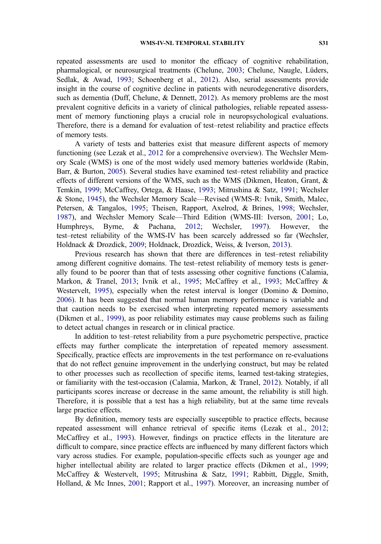repeated assessments are used to monitor the efficacy of cognitive rehabilitation, pharmalogical, or neurosurgical treatments (Chelune, [2003;](#page-15-0) Chelune, Naugle, Lüders, Sedlak, & Awad, [1993;](#page-15-0) Schoenberg et al., [2012](#page-17-0)). Also, serial assessments provide insight in the course of cognitive decline in patients with neurodegenerative disorders, such as dementia (Duff, Chelune, & Dennett, [2012](#page-16-0)). As memory problems are the most prevalent cognitive deficits in a variety of clinical pathologies, reliable repeated assessment of memory functioning plays a crucial role in neuropsychological evaluations. Therefore, there is a demand for evaluation of test–retest reliability and practice effects of memory tests.

A variety of tests and batteries exist that measure different aspects of memory functioning (see Lezak et al., [2012](#page-16-0) for a comprehensive overview). The Wechsler Memory Scale (WMS) is one of the most widely used memory batteries worldwide (Rabin, Barr, & Burton, [2005](#page-16-0)). Several studies have examined test–retest reliability and practice effects of different versions of the WMS, such as the WMS (Dikmen, Heaton, Grant, & Temkin, [1999;](#page-15-0) McCaffrey, Ortega, & Haase, [1993](#page-16-0); Mitrushina & Satz, [1991](#page-16-0); Wechsler & Stone, [1945](#page-17-0)), the Wechsler Memory Scale—Revised (WMS-R: Ivnik, Smith, Malec, Petersen, & Tangalos, [1995](#page-16-0); Theisen, Rapport, Axelrod, & Brines, [1998;](#page-17-0) Wechsler, [1987\)](#page-17-0), and Wechsler Memory Scale—Third Edition (WMS-III: Iverson, [2001](#page-16-0); Lo, Humphreys, Byrne, & Pachana, [2012](#page-16-0); Wechsler, [1997](#page-17-0)). However, the test–retest reliability of the WMS-IV has been scarcely addressed so far (Wechsler, Holdnack & Drozdick, [2009](#page-16-0); Holdnack, Drozdick, Weiss, & Iverson, [2013\)](#page-16-0).

Previous research has shown that there are differences in test–retest reliability among different cognitive domains. The test–retest reliability of memory tests is generally found to be poorer than that of tests assessing other cognitive functions (Calamia, Markon, & Tranel, [2013;](#page-15-0) Ivnik et al., [1995](#page-16-0); McCaffrey et al., [1993;](#page-16-0) McCaffrey & Westervelt, [1995\)](#page-16-0), especially when the retest interval is longer (Domino & Domino, [2006\)](#page-15-0). It has been suggested that normal human memory performance is variable and that caution needs to be exercised when interpreting repeated memory assessments (Dikmen et al., [1999](#page-15-0)), as poor reliability estimates may cause problems such as failing to detect actual changes in research or in clinical practice.

In addition to test–retest reliability from a pure psychometric perspective, practice effects may further complicate the interpretation of repeated memory assessment. Specifically, practice effects are improvements in the test performance on re-evaluations that do not reflect genuine improvement in the underlying construct, but may be related to other processes such as recollection of specific items, learned test-taking strategies, or familiarity with the test-occasion (Calamia, Markon, & Tranel, [2012\)](#page-15-0). Notably, if all participants scores increase or decrease in the same amount, the reliability is still high. Therefore, it is possible that a test has a high reliability, but at the same time reveals large practice effects.

By definition, memory tests are especially susceptible to practice effects, because repeated assessment will enhance retrieval of specific items (Lezak et al., [2012](#page-16-0); McCaffrey et al., [1993](#page-16-0)). However, findings on practice effects in the literature are difficult to compare, since practice effects are influenced by many different factors which vary across studies. For example, population-specific effects such as younger age and higher intellectual ability are related to larger practice effects (Dikmen et al., [1999](#page-15-0); McCaffrey & Westervelt, [1995;](#page-16-0) Mitrushina & Satz, [1991](#page-16-0); Rabbitt, Diggle, Smith, Holland, & Mc Innes, [2001](#page-16-0); Rapport et al., [1997](#page-17-0)). Moreover, an increasing number of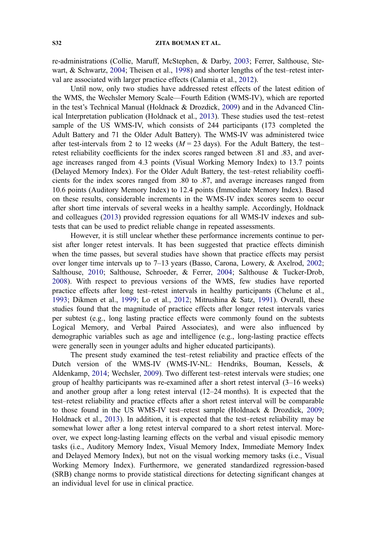re-administrations (Collie, Maruff, McStephen, & Darby, [2003](#page-15-0); Ferrer, Salthouse, Stewart, & Schwartz, [2004](#page-16-0); Theisen et al., [1998\)](#page-17-0) and shorter lengths of the test–retest interval are associated with larger practice effects (Calamia et al., [2012](#page-15-0)).

Until now, only two studies have addressed retest effects of the latest edition of the WMS, the Wechsler Memory Scale—Fourth Edition (WMS-IV), which are reported in the test's Technical Manual (Holdnack & Drozdick, [2009](#page-16-0)) and in the Advanced Clinical Interpretation publication (Holdnack et al., [2013\)](#page-16-0). These studies used the test–retest sample of the US WMS-IV, which consists of 244 participants (173 completed the Adult Battery and 71 the Older Adult Battery). The WMS-IV was administered twice after test-intervals from 2 to 12 weeks ( $M = 23$  days). For the Adult Battery, the testretest reliability coefficients for the index scores ranged between .81 and .83, and average increases ranged from 4.3 points (Visual Working Memory Index) to 13.7 points (Delayed Memory Index). For the Older Adult Battery, the test–retest reliability coefficients for the index scores ranged from .80 to .87, and average increases ranged from 10.6 points (Auditory Memory Index) to 12.4 points (Immediate Memory Index). Based on these results, considerable increments in the WMS-IV index scores seem to occur after short time intervals of several weeks in a healthy sample. Accordingly, Holdnack and colleagues [\(2013](#page-16-0)) provided regression equations for all WMS-IV indexes and subtests that can be used to predict reliable change in repeated assessments.

However, it is still unclear whether these performance increments continue to persist after longer retest intervals. It has been suggested that practice effects diminish when the time passes, but several studies have shown that practice effects may persist over longer time intervals up to 7–13 years (Basso, Carona, Lowery, & Axelrod, [2002;](#page-15-0) Salthouse, [2010;](#page-17-0) Salthouse, Schroeder, & Ferrer, [2004;](#page-17-0) Salthouse & Tucker-Drob, [2008\)](#page-17-0). With respect to previous versions of the WMS, few studies have reported practice effects after long test–retest intervals in healthy participants (Chelune et al., [1993;](#page-15-0) Dikmen et al., [1999;](#page-15-0) Lo et al., [2012;](#page-16-0) Mitrushina & Satz, [1991](#page-16-0)). Overall, these studies found that the magnitude of practice effects after longer retest intervals varies per subtest (e.g., long lasting practice effects were commonly found on the subtests Logical Memory, and Verbal Paired Associates), and were also influenced by demographic variables such as age and intelligence (e.g., long-lasting practice effects were generally seen in younger adults and higher educated participants).

The present study examined the test–retest reliability and practice effects of the Dutch version of the WMS-IV (WMS-IV-NL: Hendriks, Bouman, Kessels, & Aldenkamp, [2014;](#page-16-0) Wechsler, [2009](#page-17-0)). Two different test–retest intervals were studies; one group of healthy participants was re-examined after a short retest interval  $(3-16$  weeks) and another group after a long retest interval (12–24 months). It is expected that the test–retest reliability and practice effects after a short retest interval will be comparable to those found in the US WMS-IV test–retest sample (Holdnack & Drozdick, [2009;](#page-16-0) Holdnack et al., [2013](#page-16-0)). In addition, it is expected that the test–retest reliability may be somewhat lower after a long retest interval compared to a short retest interval. Moreover, we expect long-lasting learning effects on the verbal and visual episodic memory tasks (i.e., Auditory Memory Index, Visual Memory Index, Immediate Memory Index and Delayed Memory Index), but not on the visual working memory tasks (i.e., Visual Working Memory Index). Furthermore, we generated standardized regression-based (SRB) change norms to provide statistical directions for detecting significant changes at an individual level for use in clinical practice.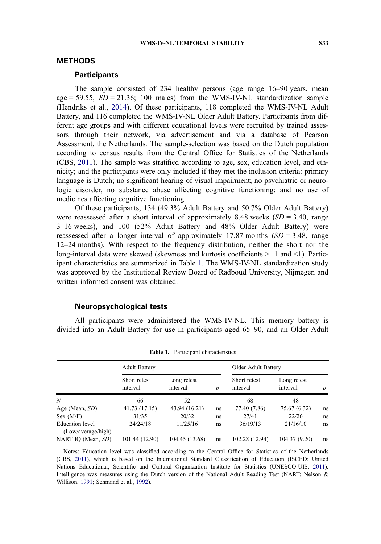## <span id="page-4-0"></span>METHODS

### **Participants**

The sample consisted of 234 healthy persons (age range 16–90 years, mean age = 59.55,  $SD = 21.36$ ; 100 males) from the WMS-IV-NL standardization sample (Hendriks et al., [2014](#page-16-0)). Of these participants, 118 completed the WMS-IV-NL Adult Battery, and 116 completed the WMS-IV-NL Older Adult Battery. Participants from different age groups and with different educational levels were recruited by trained assessors through their network, via advertisement and via a database of Pearson Assessment, the Netherlands. The sample-selection was based on the Dutch population according to census results from the Central Office for Statistics of the Netherlands (CBS, [2011](#page-15-0)). The sample was stratified according to age, sex, education level, and ethnicity; and the participants were only included if they met the inclusion criteria: primary language is Dutch; no significant hearing of visual impairment; no psychiatric or neurologic disorder, no substance abuse affecting cognitive functioning; and no use of medicines affecting cognitive functioning.

Of these participants, 134 (49.3% Adult Battery and 50.7% Older Adult Battery) were reassessed after a short interval of approximately 8.48 weeks  $(SD = 3.40, \text{ range})$ 3–16 weeks), and 100 (52% Adult Battery and 48% Older Adult Battery) were reassessed after a longer interval of approximately 17.87 months  $(SD = 3.48$ , range 12–24 months). With respect to the frequency distribution, neither the short nor the long-interval data were skewed (skewness and kurtosis coefficients >−1 and <1). Participant characteristics are summarized in Table 1. The WMS-IV-NL standardization study was approved by the Institutional Review Board of Radboud University, Nijmegen and written informed consent was obtained.

## Neuropsychological tests

All participants were administered the WMS-IV-NL. This memory battery is divided into an Adult Battery for use in participants aged 65–90, and an Older Adult

|                        | <b>Adult Battery</b>     |                         |                  | Older Adult Battery      |                         |                  |
|------------------------|--------------------------|-------------------------|------------------|--------------------------|-------------------------|------------------|
|                        | Short retest<br>interval | Long retest<br>interval | $\boldsymbol{p}$ | Short retest<br>interval | Long retest<br>interval | $\boldsymbol{p}$ |
| N                      | 66                       | 52                      |                  | 68                       | 48                      |                  |
| Age (Mean, SD)         | 41.73 (17.15)            | 43.94 (16.21)           | ns               | 77.40 (7.86)             | 75.67 (6.32)            | ns               |
| Sex (M/F)              | 31/35                    | 20/32                   | ns               | 27/41                    | 22/26                   | ns               |
| <b>Education</b> level | 24/24/18                 | 11/25/16                | ns               | 36/19/13                 | 21/16/10                | ns               |
| (Low/average/high)     |                          |                         |                  |                          |                         |                  |
| NART IO (Mean, SD)     | 101.44 (12.90)           | 104.45 (13.68)          | ns               | 102.28 (12.94)           | 104.37 (9.20)           | ns               |

Table 1. Participant characteristics

Notes: Education level was classified according to the Central Office for Statistics of the Netherlands (CBS, [2011](#page-15-0)), which is based on the International Standard Classification of Education (ISCED: United Nations Educational, Scientific and Cultural Organization Institute for Statistics (UNESCO-UIS, [2011](#page-17-0)). Intelligence was measures using the Dutch version of the National Adult Reading Test (NART: Nelson & Willison, [1991;](#page-16-0) Schmand et al., [1992](#page-17-0)).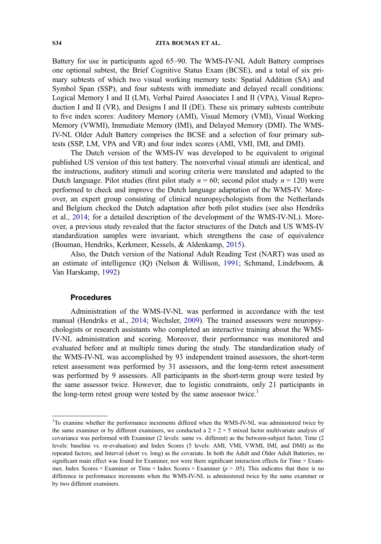#### S34 ZITA BOUMAN ET AL.

Battery for use in participants aged 65–90. The WMS-IV-NL Adult Battery comprises one optional subtest, the Brief Cognitive Status Exam (BCSE), and a total of six primary subtests of which two visual working memory tests: Spatial Addition (SA) and Symbol Span (SSP), and four subtests with immediate and delayed recall conditions: Logical Memory I and II (LM), Verbal Paired Associates I and II (VPA), Visual Reproduction I and II (VR), and Designs I and II (DE). These six primary subtests contribute to five index scores: Auditory Memory (AMI), Visual Memory (VMI), Visual Working Memory (VWMI), Immediate Memory (IMI), and Delayed Memory (DMI). The WMS-IV-NL Older Adult Battery comprises the BCSE and a selection of four primary subtests (SSP, LM, VPA and VR) and four index scores (AMI, VMI, IMI, and DMI).

The Dutch version of the WMS-IV was developed to be equivalent to original published US version of this test battery. The nonverbal visual stimuli are identical, and the instructions, auditory stimuli and scoring criteria were translated and adapted to the Dutch language. Pilot studies (first pilot study  $n = 60$ ; second pilot study  $n = 120$ ) were performed to check and improve the Dutch language adaptation of the WMS-IV. Moreover, an expert group consisting of clinical neuropsychologists from the Netherlands and Belgium checked the Dutch adaptation after both pilot studies (see also Hendriks et al., [2014](#page-16-0); for a detailed description of the development of the WMS-IV-NL). Moreover, a previous study revealed that the factor structures of the Dutch and US WMS-IV standardization samples were invariant, which strengthens the case of equivalence (Bouman, Hendriks, Kerkmeer, Kessels, & Aldenkamp, [2015\)](#page-15-0).

Also, the Dutch version of the National Adult Reading Test (NART) was used as an estimate of intelligence (IQ) (Nelson & Willison, [1991](#page-16-0); Schmand, Lindeboom, & Van Harskamp, [1992\)](#page-17-0)

#### Procedures

Administration of the WMS-IV-NL was performed in accordance with the test manual (Hendriks et al., [2014;](#page-16-0) Wechsler, [2009\)](#page-17-0). The trained assessors were neuropsychologists or research assistants who completed an interactive training about the WMS-IV-NL administration and scoring. Moreover, their performance was monitored and evaluated before and at multiple times during the study. The standardization study of the WMS-IV-NL was accomplished by 93 independent trained assessors, the short-term retest assessment was performed by 31 assessors, and the long-term retest assessment was performed by 9 assessors. All participants in the short-term group were tested by the same assessor twice. However, due to logistic constraints, only 21 participants in the long-term retest group were tested by the same assessor twice.<sup>1</sup>

<sup>&</sup>lt;sup>1</sup>To examine whether the performance increments differed when the WMS-IV-NL was administered twice by the same examiner or by different examiners, we conducted a  $2 \times 2 \times 5$  mixed factor multivariate analysis of covariance was performed with Examiner (2 levels: same vs. different) as the between-subject factor, Time (2 levels: baseline vs. re-evaluation) and Index Scores (5 levels: AMI, VMI, VWMI, IMI, and DMI) as the repeated factors, and Interval (short vs. long) as the covariate. In both the Adult and Older Adult Batteries, no significant main effect was found for Examiner, nor were there significant interaction effects for Time × Examiner, Index Scores × Examiner or Time × Index Scores × Examiner ( $p > .05$ ). This indicates that there is no difference in performance increments when the WMS-IV-NL is administered twice by the same examiner or by two different examiners.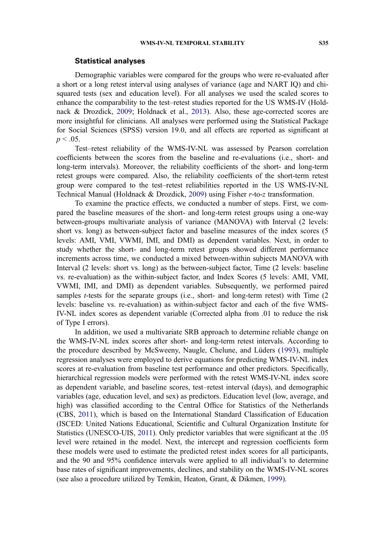#### Statistical analyses

Demographic variables were compared for the groups who were re-evaluated after a short or a long retest interval using analyses of variance (age and NART IQ) and chisquared tests (sex and education level). For all analyses we used the scaled scores to enhance the comparability to the test–retest studies reported for the US WMS-IV (Holdnack & Drozdick, [2009](#page-16-0); Holdnack et al., [2013](#page-16-0)). Also, these age-corrected scores are more insightful for clinicians. All analyses were performed using the Statistical Package for Social Sciences (SPSS) version 19.0, and all effects are reported as significant at  $p < .05$ .

Test–retest reliability of the WMS-IV-NL was assessed by Pearson correlation coefficients between the scores from the baseline and re-evaluations (i.e., short- and long-term intervals). Moreover, the reliability coefficients of the short- and long-term retest groups were compared. Also, the reliability coefficients of the short-term retest group were compared to the test–retest reliabilities reported in the US WMS-IV-NL Technical Manual (Holdnack & Drozdick, [2009\)](#page-16-0) using Fisher r-to-z transformation.

To examine the practice effects, we conducted a number of steps. First, we compared the baseline measures of the short- and long-term retest groups using a one-way between-groups multivariate analysis of variance (MANOVA) with Interval (2 levels: short vs. long) as between-subject factor and baseline measures of the index scores (5 levels: AMI, VMI, VWMI, IMI, and DMI) as dependent variables. Next, in order to study whether the short- and long-term retest groups showed different performance increments across time, we conducted a mixed between-within subjects MANOVA with Interval (2 levels: short vs. long) as the between-subject factor, Time (2 levels: baseline vs. re-evaluation) as the within-subject factor, and Index Scores (5 levels: AMI, VMI, VWMI, IMI, and DMI) as dependent variables. Subsequently, we performed paired samples t-tests for the separate groups (i.e., short- and long-term retest) with Time (2 levels: baseline vs. re-evaluation) as within-subject factor and each of the five WMS-IV-NL index scores as dependent variable (Corrected alpha from .01 to reduce the risk of Type I errors).

In addition, we used a multivariate SRB approach to determine reliable change on the WMS-IV-NL index scores after short- and long-term retest intervals. According to the procedure described by McSweeny, Naugle, Chelune, and Lüders ([1993\)](#page-16-0), multiple regression analyses were employed to derive equations for predicting WMS-IV-NL index scores at re-evaluation from baseline test performance and other predictors. Specifically, hierarchical regression models were performed with the retest WMS-IV-NL index score as dependent variable, and baseline scores, test–retest interval (days), and demographic variables (age, education level, and sex) as predictors. Education level (low, average, and high) was classified according to the Central Office for Statistics of the Netherlands (CBS, [2011\)](#page-15-0), which is based on the International Standard Classification of Education (ISCED: United Nations Educational, Scientific and Cultural Organization Institute for Statistics (UNESCO-UIS, [2011](#page-17-0)). Only predictor variables that were significant at the .05 level were retained in the model. Next, the intercept and regression coefficients form these models were used to estimate the predicted retest index scores for all participants, and the 90 and 95% confidence intervals were applied to all individual's to determine base rates of significant improvements, declines, and stability on the WMS-IV-NL scores (see also a procedure utilized by Temkin, Heaton, Grant, & Dikmen, [1999](#page-17-0)).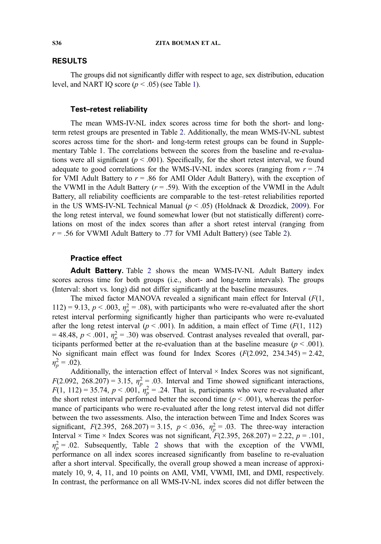#### RESULTS

The groups did not significantly differ with respect to age, sex distribution, education level, and NART IQ score  $(p < .05)$  (see Table [1\)](#page-4-0).

### Test–retest reliability

The mean WMS-IV-NL index scores across time for both the short- and longterm retest groups are presented in Table [2](#page-8-0). Additionally, the mean WMS-IV-NL subtest scores across time for the short- and long-term retest groups can be found in Supplementary Table 1. The correlations between the scores from the baseline and re-evaluations were all significant ( $p < .001$ ). Specifically, for the short retest interval, we found adequate to good correlations for the WMS-IV-NL index scores (ranging from  $r = .74$ ) for VMI Adult Battery to  $r = .86$  for AMI Older Adult Battery), with the exception of the VWMI in the Adult Battery  $(r = .59)$ . With the exception of the VWMI in the Adult Battery, all reliability coefficients are comparable to the test–retest reliabilities reported in the US WMS-IV-NL Technical Manual ( $p < .05$ ) (Holdnack & Drozdick, [2009](#page-16-0)). For the long retest interval, we found somewhat lower (but not statistically different) correlations on most of the index scores than after a short retest interval (ranging from  $r = .56$  for VWMI Adult Battery to .77 for VMI Adult Battery) (see Table [2](#page-8-0)).

## Practice effect

Adult Battery. Table [2](#page-8-0) shows the mean WMS-IV-NL Adult Battery index scores across time for both groups (i.e., short- and long-term intervals). The groups (Interval: short vs. long) did not differ significantly at the baseline measures.

The mixed factor MANOVA revealed a significant main effect for Interval  $(F(1,$  $112$ ) = 9.13,  $p < .003$ ,  $\eta_p^2 = .08$ ), with participants who were re-evaluated after the short<br>retest interval performing significantly higher than participants who were re-evaluated retest interval performing significantly higher than participants who were re-evaluated after the long retest interval ( $p < .001$ ). In addition, a main effect of Time ( $F(1, 112)$ ) = 48.48,  $p < .001$ ,  $\eta_p^2 = .30$ ) was observed. Contrast analyses revealed that overall, participants performed better at the re-evaluation than at the baseline measure ( $n < .001$ ) ticipants performed better at the re-evaluation than at the baseline measure  $(p < .001)$ . No significant main effect was found for Index Scores  $(F(2.092, 234.345) = 2.42,$  $\eta_p^2 = .02$ ).<br>Add

Additionally, the interaction effect of Interval  $\times$  Index Scores was not significant,  $F(2.092, 268.207) = 3.15, \eta_p^2 = .03$ . Interval and Time showed significant interactions,<br> $F(1, 112) = 35.74, p < 0.01$   $\eta_p^2 = 24$ . That is participants who were re-evaluated after  $F(1, 112) = 35.74$ ,  $p < .001$ ,  $\eta_p^2 = .24$ . That is, participants who were re-evaluated after the short retest interval performed better the second time  $(p < .001)$ , whereas the performed the short retest interval performed better the second time ( $p < .001$ ), whereas the performance of participants who were re-evaluated after the long retest interval did not differ between the two assessments. Also, the interaction between Time and Index Scores was significant,  $F(2.395, 268.207) = 3.15, p < .036, \eta_p^2 = .03$ . The three-way interaction<br>Interval  $\times$  Time  $\times$  Index Scores was not significant  $F(2.395, 268.207) = 2.22, p = 101$ . Interval  $\times$  Time  $\times$  Index Scores was not significant,  $F(2.395, 268.207) = 2.22$ ,  $p = .101$ ,  $\eta_p^2 = .02$  $\eta_p^2 = .02$  $\eta_p^2 = .02$ . Subsequently, Table 2 shows that with the exception of the VWMI, performance on all index scores increased significantly from baseline to re-evaluation after a short interval. Specifically, the overall group showed a mean increase of approximately 10, 9, 4, 11, and 10 points on AMI, VMI, VWMI, IMI, and DMI, respectively. In contrast, the performance on all WMS-IV-NL index scores did not differ between the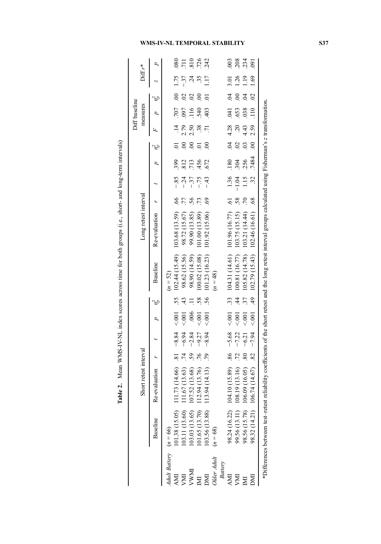| is a figure of the control of the control of the control of the control of the control of the control of the control of the control of the control of the control of the control of the control of the control of the control |
|-------------------------------------------------------------------------------------------------------------------------------------------------------------------------------------------------------------------------------|
|                                                                                                                                                                                                                               |
|                                                                                                                                                                                                                               |
| $\overline{a}$                                                                                                                                                                                                                |
|                                                                                                                                                                                                                               |
| l                                                                                                                                                                                                                             |
| į                                                                                                                                                                                                                             |
| .<br>.<br>.<br>.                                                                                                                                                                                                              |
|                                                                                                                                                                                                                               |
|                                                                                                                                                                                                                               |
|                                                                                                                                                                                                                               |
|                                                                                                                                                                                                                               |
|                                                                                                                                                                                                                               |
|                                                                                                                                                                                                                               |
|                                                                                                                                                                                                                               |
|                                                                                                                                                                                                                               |
|                                                                                                                                                                                                                               |
|                                                                                                                                                                                                                               |
| .<br>.<br>.                                                                                                                                                                                                                   |
| ֧֧֧֧ׅ֧֧֧ׅ֧֧֧֧ׅ֧֧֧ׅ֧֚֚֚֚֚֚֚֚֚֚֚֚֚֚֚֚֚֚֚֚֚֚֚֚֚֚֝֝֝֓֝֓֝֜֝֓֝֓֜֜֝֬֝֓֜֜֜֝֬֜                                                                                                                                                         |
|                                                                                                                                                                                                                               |
|                                                                                                                                                                                                                               |
|                                                                                                                                                                                                                               |
|                                                                                                                                                                                                                               |
|                                                                                                                                                                                                                               |
|                                                                                                                                                                                                                               |
|                                                                                                                                                                                                                               |
| l                                                                                                                                                                                                                             |
|                                                                                                                                                                                                                               |
|                                                                                                                                                                                                                               |
|                                                                                                                                                                                                                               |
|                                                                                                                                                                                                                               |
|                                                                                                                                                                                                                               |
| i<br>i                                                                                                                                                                                                                        |
|                                                                                                                                                                                                                               |
|                                                                                                                                                                                                                               |
|                                                                                                                                                                                                                               |
|                                                                                                                                                                                                                               |
|                                                                                                                                                                                                                               |
| ֖֖ׅׅ֪ׅ֪ׅ֪֪ׅ֚֚֚֚֚֚֚֚֚֚֚֚֚֚֚֚֚֚֡֡֡֡֡֡֡֡֡֡֡֬֝֬֓֡֬֝֓֡֬֓֬֝֬֝֬֝֓֞֬                                                                                                                                                                  |
|                                                                                                                                                                                                                               |
|                                                                                                                                                                                                                               |
|                                                                                                                                                                                                                               |
|                                                                                                                                                                                                                               |
|                                                                                                                                                                                                                               |
|                                                                                                                                                                                                                               |
|                                                                                                                                                                                                                               |
|                                                                                                                                                                                                                               |
|                                                                                                                                                                                                                               |
|                                                                                                                                                                                                                               |
| į<br>֚֚֚֚֚֚֚֚֡                                                                                                                                                                                                                |
|                                                                                                                                                                                                                               |
|                                                                                                                                                                                                                               |
| I                                                                                                                                                                                                                             |

<span id="page-8-0"></span>

|                          |                                                                                                                                                                 |                       |                |         |                    |               |                                     |                      |                     |                    |       |                     |                 | Diff baseline    |                |            |            |
|--------------------------|-----------------------------------------------------------------------------------------------------------------------------------------------------------------|-----------------------|----------------|---------|--------------------|---------------|-------------------------------------|----------------------|---------------------|--------------------|-------|---------------------|-----------------|------------------|----------------|------------|------------|
|                          |                                                                                                                                                                 | Short retest interval |                |         |                    |               |                                     | Long retest interval |                     |                    |       |                     |                 | measures         |                | $Diff r^*$ |            |
|                          | Baseline                                                                                                                                                        | <b>Re-evaluation</b>  |                |         | $p \quad \eta_p^2$ |               | Baseline                            | Re-evaluation        |                     | $t$ $p$ $\eta_p^2$ |       |                     |                 | $p$ $\eta_p^2$   |                |            |            |
| Adult Battery $(n = 66)$ |                                                                                                                                                                 |                       |                |         |                    |               | $(n = 52)$                          |                      |                     |                    |       |                     |                 |                  |                |            |            |
| AMI                      | 101.38 (15.05)                                                                                                                                                  | 11.73 (14.66)         | $\overline{8}$ | $-8.84$ | 5001               |               | 102.44 (15.49)                      | 103.68 (13.59)       | $\ddot{\mathrm{6}}$ | $-85$              | 399   |                     | $\overline{14}$ | .707             | $\ddot{\circ}$ | 1.75       | 080        |
|                          | 03.11 (13.60)                                                                                                                                                   | 11.67 (13.63)         | $\ddot{5}$     | $-6.94$ | $\overline{00}$    | $\frac{4}{3}$ | 98.62 (15.56)                       | 98.72 (15.67)        | .77                 |                    | 812   | $\overline{0}$      | 2.79            | <b>L60</b>       |                |            | <b>711</b> |
|                          | (03.03 (13.65)                                                                                                                                                  | 07.52 (13.68)         | 59             | $-2.84$ |                    |               | 98.90 (14.59)                       | 99.90 (13.85)        | 56                  |                    | 713   | $\overline{0}$      | 2.50            | 116              |                |            | 810        |
|                          | 01.65 (13.70)                                                                                                                                                   | 12.94 (13.76)         | .76            | $-9.27$ | $\epsilon$ .001    | 58            | 100.02 (15.08)                      | 01.00(13.89)         | .73                 | $-75$              | 456   | $\overline{a}$      |                 | 540              |                |            | .726       |
|                          | 03.56 (13.88)                                                                                                                                                   | 13.94 (14.13)         | 56.            | $-8.94$ | 0.001              | 56            | 101.23 (16.23)                      | 101.92 (15.06)       | 69                  | $-43$              | .672  | $\odot$             |                 | 403              |                |            | .242       |
| <b>Older</b> Adult       | $(n = 68)$                                                                                                                                                      |                       |                |         |                    |               | $(n = 48)$                          |                      |                     |                    |       |                     |                 |                  |                |            |            |
| <b>Battery</b>           |                                                                                                                                                                 |                       |                |         |                    |               |                                     |                      |                     |                    |       |                     |                 |                  |                |            |            |
| ЯЯ                       | 98.24 (16.22)                                                                                                                                                   | 04.10 (15.89)         | $\frac{86}{1}$ | $-5.68$ | < .001             |               | 104.31 (14.61)                      | 101.96 (16.77)       | $\overline{6}$      | 1.36               | .180  | $\ddot{6}$          | 4.28            | .041             | $\ddot{5}$     | 3.01       | 003        |
| ÞМ                       | 99.56 (13.11)                                                                                                                                                   | 08.19 (13.16)         | 72.            | $-7.22$ | 500                | $\frac{4}{4}$ | 100.81 (16.77)                      | 103.75 (15.15)       | 58.                 | 1.04               | .304  | $\ddot{\circ}$      | $\overline{c}$  | .653             | $\overline{0}$ | 1.26       | .208       |
|                          | 98.56 (15.78)                                                                                                                                                   | 06.09 (16.05)         | 80             | $-6.21$ | 001                | <u>ت</u> :    | 105.82 (14.78)                      | 103.21 (14.44)       | 0 <sup>c</sup>      | 115                | 256   | $\ddot{\mathrm{c}}$ | 4.43            | .038             | $\ddot{5}$     | 1.19       | 234        |
|                          | 98.32 (14.21)                                                                                                                                                   | $06.74(14.67)$ .82    |                | $-7.94$ | < 001              |               | $.49$ 102.79 (15.43) 102.46 (16.61) |                      | $\ddot{\mathrm{8}}$ | $\ddot{3}$         | .7484 | 00                  | 2.59            | $\overline{110}$ | $\approx$      | 1.69       | .091       |
|                          | *Differences between test-retest reliability coefficients of the short retest and the long retest interval groups calculated using Fisherman's z transformation |                       |                |         |                    |               |                                     |                      |                     |                    |       |                     |                 |                  |                |            |            |

## WMS-IV-NL TEMPORAL STABILITY S37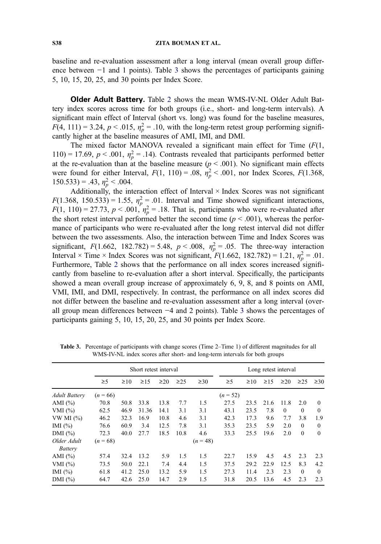baseline and re-evaluation assessment after a long interval (mean overall group difference between −1 and 1 points). Table 3 shows the percentages of participants gaining 5, 10, 15, 20, 25, and 30 points per Index Score.

**Older Adult Battery.** Table [2](#page-8-0) shows the mean WMS-IV-NL Older Adult Battery index scores across time for both groups (i.e., short- and long-term intervals). A significant main effect of Interval (short vs. long) was found for the baseline measures,  $F(4, 111) = 3.24$ ,  $p < .015$ ,  $\eta_p^2 = .10$ , with the long-term retest group performing significantly bigher at the baseline measures of AMI IMI and DMI cantly higher at the baseline measures of AMI, IMI, and DMI.

The mixed factor MANOVA revealed a significant main effect for Time  $(F(1,$ 110) = 17.69,  $p < .001$ ,  $\eta_p^2 = .14$ ). Contrasts revealed that participants performed better at the re-evaluation than at the baseline measure ( $n < .001$ ). No significant main effects at the re-evaluation than at the baseline measure ( $p < .001$ ). No significant main effects were found for either Interval,  $F(1, 110) = .08$ ,  $\eta_p^2 < .001$ , nor Index Scores,  $F(1.368, 150.533) = .43$ ,  $n^2 < .004$ 150.533) = .43,  $\eta_p^2 < .004$ .<br>Additionally the int

Additionally, the interaction effect of Interval × Index Scores was not significant  $F(1.368, 150.533) = 1.55$ ,  $\eta_p^2 = .01$ . Interval and Time showed significant interactions,<br> $F(1.110) = 27.73$ ,  $p < 0.01$ ,  $p^2 = 18$ . That is participants who were re-evaluated after  $F(1, 110) = 27.73$ ,  $p < .001$ ,  $\eta_p^2 = .18$ . That is, participants who were re-evaluated after the short retest interval performed better the second time  $(p < .001)$ , whereas the performed the short retest interval performed better the second time ( $p < .001$ ), whereas the performance of participants who were re-evaluated after the long retest interval did not differ between the two assessments. Also, the interaction between Time and Index Scores was significant,  $F(1.662, 182.782) = 5.48$ ,  $p < .008$ ,  $\eta_p^2 = .05$ . The three-way interaction<br>Interval  $\times$  Time  $\times$  Index Scores was not significant  $F(1.662, 182.782) = 1.21$ ,  $n^2 = .01$ . Interval × Time × Index Scores was not significant,  $F(1.662, 182.782) = 1.21$ ,  $\eta_p^2 = .01$ .<br>Furthermore, Table 2 shows that the performance on all index scores increased signifi-Furthermore, Table [2](#page-8-0) shows that the performance on all index scores increased significantly from baseline to re-evaluation after a short interval. Specifically, the participants showed a mean overall group increase of approximately 6, 9, 8, and 8 points on AMI, VMI, IMI, and DMI, respectively. In contrast, the performance on all index scores did not differ between the baseline and re-evaluation assessment after a long interval (overall group mean differences between −4 and 2 points). Table 3 shows the percentages of participants gaining 5, 10, 15, 20, 25, and 30 points per Index Score.

|                        |            |           | Short retest interval |           |           |            |            |           | Long retest interval |           |           |           |
|------------------------|------------|-----------|-----------------------|-----------|-----------|------------|------------|-----------|----------------------|-----------|-----------|-----------|
|                        | $\geq$ 5   | $\geq 10$ | $\geq$ 15             | $\geq$ 20 | $\geq$ 25 | $\geq 30$  | $\geq 5$   | $\geq 10$ | $\geq$ 15            | $\geq$ 20 | $\geq$ 25 | $\geq 30$ |
| <b>Adult Battery</b>   | $(n = 66)$ |           |                       |           |           |            | $(n = 52)$ |           |                      |           |           |           |
| AMI $(\% )$            | 70.8       | 50.8      | 33.8                  | 13.8      | 7.7       | 1.5        | 27.5       | 23.5      | 21.6                 | 11.8      | 2.0       | $\theta$  |
| VMI $(\%)$             | 62.5       | 46.9      | 31.36                 | 14.1      | 3.1       | 3.1        | 43.1       | 23.5      | 7.8                  | $\theta$  | $\Omega$  | $\theta$  |
| VW MI $(%)$            | 46.2       | 32.3      | 16.9                  | 10.8      | 4.6       | 3.1        | 42.3       | 17.3      | 9.6                  | 7.7       | 3.8       | 1.9       |
| IMI $(\% )$            | 76.6       | 60.9      | 3.4                   | 12.5      | 7.8       | 3.1        | 35.3       | 23.5      | 5.9                  | 2.0       | $\Omega$  | $\theta$  |
| DMI $(\% )$            | 72.3       | 40.0      | 27.7                  | 18.5      | 10.8      | 4.6        | 33.3       | 25.5      | 19.6                 | 2.0       | $\Omega$  | $\Omega$  |
| Older Adult<br>Battery | $(n = 68)$ |           |                       |           |           | $(n = 48)$ |            |           |                      |           |           |           |
| AMI $(\% )$            | 57.4       | 32.4      | 13.2                  | 5.9       | 1.5       | 1.5        | 22.7       | 15.9      | 4.5                  | 4.5       | 2.3       | 2.3       |
| VMI $(%)$              | 73.5       | 50.0      | 22.1                  | 7.4       | 4.4       | 1.5        | 37.5       | 29.2      | 22.9                 | 12.5      | 8.3       | 4.2       |
| IMI $(\% )$            | 61.8       | 41.2      | 25.0                  | 13.2      | 5.9       | 1.5        | 27.3       | 11.4      | 2.3                  | 2.3       | $\Omega$  | $\Omega$  |
| DMI $(\%)$             | 64.7       | 42.6      | 25.0                  | 14.7      | 2.9       | 1.5        | 31.8       | 20.5      | 13.6                 | 4.5       | 2.3       | 2.3       |

Table 3. Percentage of participants with change scores (Time 2–Time 1) of different magnitudes for all WMS-IV-NL index scores after short- and long-term intervals for both groups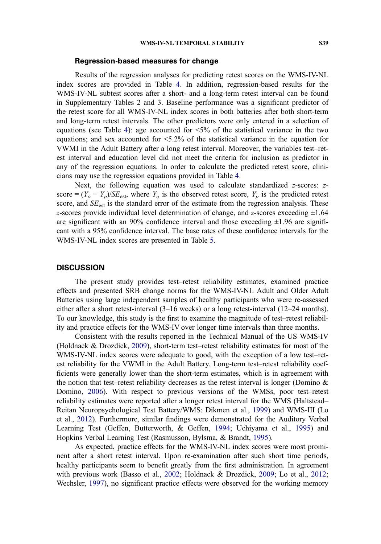#### Regression-based measures for change

Results of the regression analyses for predicting retest scores on the WMS-IV-NL index scores are provided in Table [4](#page-11-0). In addition, regression-based results for the WMS-IV-NL subtest scores after a short- and a long-term retest interval can be found in Supplementary Tables 2 and 3. Baseline performance was a significant predictor of the retest score for all WMS-IV-NL index scores in both batteries after both short-term and long-term retest intervals. The other predictors were only entered in a selection of equations (see Table [4\)](#page-11-0): age accounted for  $\leq 5\%$  of the statistical variance in the two equations; and sex accounted for <5.2% of the statistical variance in the equation for VWMI in the Adult Battery after a long retest interval. Moreover, the variables test–retest interval and education level did not meet the criteria for inclusion as predictor in any of the regression equations. In order to calculate the predicted retest score, clinicians may use the regression equations provided in Table [4](#page-11-0).

Next, the following equation was used to calculate standardized z-scores: zscore =  $(Y_o - Y_p)/SE_{est}$ , where  $Y_o$  is the observed retest score,  $Y_p$  is the predicted retest score, and  $SE_{est}$  is the standard error of the estimate from the regression analysis. These z-scores provide individual level determination of change, and z-scores exceeding  $\pm 1.64$ are significant with an 90% confidence interval and those exceeding  $\pm 1.96$  are significant with a 95% confidence interval. The base rates of these confidence intervals for the WMS-IV-NL index scores are presented in Table [5.](#page-12-0)

#### **DISCUSSION**

The present study provides test–retest reliability estimates, examined practice effects and presented SRB change norms for the WMS-IV-NL Adult and Older Adult Batteries using large independent samples of healthy participants who were re-assessed either after a short retest-interval (3–16 weeks) or a long retest-interval (12–24 months). To our knowledge, this study is the first to examine the magnitude of test–retest reliability and practice effects for the WMS-IV over longer time intervals than three months.

Consistent with the results reported in the Technical Manual of the US WMS-IV (Holdnack & Drozdick, [2009\)](#page-16-0), short-term test–retest reliability estimates for most of the WMS-IV-NL index scores were adequate to good, with the exception of a low test–retest reliability for the VWMI in the Adult Battery. Long-term test–retest reliability coefficients were generally lower than the short-term estimates, which is in agreement with the notion that test–retest reliability decreases as the retest interval is longer (Domino & Domino, [2006](#page-15-0)). With respect to previous versions of the WMSs, poor test–retest reliability estimates were reported after a longer retest interval for the WMS (Haltstead– Reitan Neuropsychological Test Battery/WMS: Dikmen et al., [1999](#page-15-0)) and WMS-III (Lo et al., [2012](#page-16-0)). Furthermore, similar findings were demonstrated for the Auditory Verbal Learning Test (Geffen, Butterworth, & Geffen, [1994;](#page-16-0) Uchiyama et al., [1995\)](#page-17-0) and Hopkins Verbal Learning Test (Rasmusson, Bylsma, & Brandt, [1995\)](#page-17-0).

As expected, practice effects for the WMS-IV-NL index scores were most prominent after a short retest interval. Upon re-examination after such short time periods, healthy participants seem to benefit greatly from the first administration. In agreement with previous work (Basso et al., [2002](#page-15-0); Holdnack & Drozdick, [2009;](#page-16-0) Lo et al., [2012](#page-16-0); Wechsler, [1997\)](#page-17-0), no significant practice effects were observed for the working memory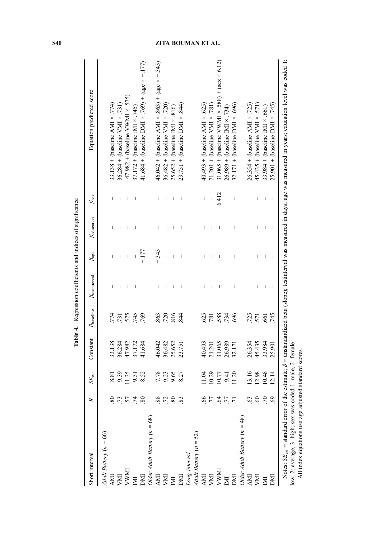| Short interval                 |             | $SE_{est}$     | Constant | $\beta_{\text{baseline}}$ | $\beta$ estinterval | $\beta_{\rm age}$                     | $\beta_{\rm education}$ | $\beta_{\rm sex}$ | Equation predicted score                                                                                                                                                             |
|--------------------------------|-------------|----------------|----------|---------------------------|---------------------|---------------------------------------|-------------------------|-------------------|--------------------------------------------------------------------------------------------------------------------------------------------------------------------------------------|
| Adult Battery $(n = 66)$       |             |                |          |                           |                     |                                       |                         |                   |                                                                                                                                                                                      |
| <b>NNI</b>                     |             | 8.81           | 33.138   | .774                      |                     |                                       |                         |                   | $33.138 + (baseline AMI \times .774)$                                                                                                                                                |
| NИI                            | ς           |                | 36.284   | .731                      |                     |                                       |                         |                   | $36.284 + (baseline VMI \times .731)$                                                                                                                                                |
| <b>LINAN</b>                   | 57          | 9.39<br>1.35   | 47.982   |                           |                     |                                       |                         |                   | $47.982 + (baseline VWMI \times .575)$                                                                                                                                               |
| $\mathbb{M}%$                  | .74         | 9.31           | 37.172   | 575                       |                     |                                       |                         |                   | $37.172 + (baseline IMI \times .745)$                                                                                                                                                |
| IMI                            | $80\,$      | 8.52           | 41.684   | .769                      |                     | $-177$                                |                         |                   | 41.684 + (baseline DMI × .769) + (age × -.177)                                                                                                                                       |
| Older Adult Battery $(n = 68)$ |             |                |          |                           |                     |                                       |                         |                   |                                                                                                                                                                                      |
| $\Delta M$                     |             | 7.78           | 46.042   | 863                       | Ī                   | $-.345$                               |                         | I                 | $46.042 + (baseline AMI \times .863) + (age \times -0.345)$                                                                                                                          |
| NИ                             | $\mathbf 2$ |                | 36.482   | 720                       |                     | $\overline{\phantom{a}}$              |                         |                   | $36.482 +$ (baseline VMI $\times$ .720)                                                                                                                                              |
| $\mathbb{M}$                   | 80          | 9.23<br>9.65   | 25.652   | 816                       |                     | $\begin{array}{c} \hline \end{array}$ |                         |                   | $25.652 +$ (baseline IMI $\times$ .816)                                                                                                                                              |
| DMI                            |             | 8.27           | 23.751   | 844                       |                     |                                       |                         |                   | $23.751 +$ (baseline DMI $\times$ .844)                                                                                                                                              |
| Long interval                  |             |                |          |                           |                     |                                       |                         |                   |                                                                                                                                                                                      |
| Adult Battery $(n = 52)$       |             |                |          |                           |                     |                                       |                         |                   |                                                                                                                                                                                      |
| <b>NN</b>                      |             | 1.04           | 40.493   | 625                       |                     |                                       |                         |                   | $40.493 +$ (baseline AMI $\times$ .625)                                                                                                                                              |
| NИ                             |             | 0.29           | 21.201   | 781                       |                     |                                       |                         |                   | $21.201 + (baseline VML \times .781)$                                                                                                                                                |
| <b>LYMAL</b>                   |             | 10.77          | 31.065   | 588                       |                     |                                       |                         | 6.412             | 31.065 + (baseline VWMI $\times$ .588) + (sex $\times$ 6.12)                                                                                                                         |
| $\mathbb{N}$                   |             | 9.41           | 26.989   | .734                      |                     |                                       |                         |                   | $26.989 + (baseline MM \times .734)$                                                                                                                                                 |
| DMI                            |             | 1.20           | 32.171   | 696                       |                     |                                       |                         |                   | $32.171 +$ (baseline DMI $\times .696$ )                                                                                                                                             |
| Older Adult Battery $(n = 48)$ |             |                |          |                           |                     |                                       |                         |                   |                                                                                                                                                                                      |
| <b>AMI</b>                     |             |                | 26.354   | .725                      |                     |                                       |                         |                   | $26.354 + (baseline AMI \times .725)$                                                                                                                                                |
| NД                             |             | 13.16<br>12.98 | 45.435   | 571                       |                     |                                       |                         |                   | $45.435 +$ (baseline VMI $\times .571$ )                                                                                                                                             |
| IMI                            | $\cdot$ 70  | 10.48          | 33.984   | 561                       |                     |                                       |                         |                   | 33.984 + (baseline IMI $\times$ .661)                                                                                                                                                |
| DХ                             | 69.         | 12.14          | 25.901   | 745                       | I                   | I                                     |                         | I                 | $25.901 +$ (baseline DMI $\times$ .745)                                                                                                                                              |
|                                |             |                |          |                           |                     |                                       |                         |                   | Notes: $SE_{est}$ = standard error of the estimate; $\beta$ = unstandardized beta (slope); testinterval was measured in days; age was measured in years; education level was coded 1 |

Table 4. Regression coefficients and indices of significance Table 4. Regression coefficients and indices of significance

# <span id="page-11-0"></span>S40 ZITA BOUMAN ET AL.

low, 2: average, 3: high; sex was coded 1: male, 2: female.<br>All index equations use age adjusted standard scores. low, 2: average, 3: high; sex was coded 1: male, 2: female. All index equations use age adjusted standard scores.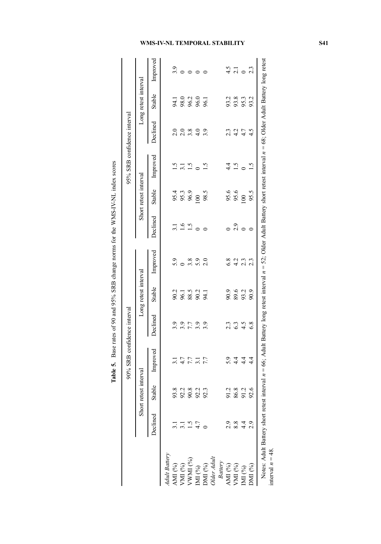Table 5. Base rates of 90 and 95% SRB change norms for the WMS-IV-NL index scores Table 5. Base rates of 90 and 95% SRB change norms for the WMS-IV-NL index scores

<span id="page-12-0"></span>

|                                                                |                                                                                                                                                                                          |                 | 90% SRB confidence interval     |                               |                                                                         |                 |                        |                       | 95% SRB confidence interval                                    |                                   |                             |                   |
|----------------------------------------------------------------|------------------------------------------------------------------------------------------------------------------------------------------------------------------------------------------|-----------------|---------------------------------|-------------------------------|-------------------------------------------------------------------------|-----------------|------------------------|-----------------------|----------------------------------------------------------------|-----------------------------------|-----------------------------|-------------------|
|                                                                | Short                                                                                                                                                                                    | retest interval |                                 |                               | Long retest interval                                                    |                 |                        | Short retest interval |                                                                |                                   | Long retest interval        |                   |
|                                                                | Declined                                                                                                                                                                                 | Stable          | Improved                        | Declined                      | Stable                                                                  | Improved        | Declined               | Stable                | Improved                                                       | Declined                          | Stable                      | Improved          |
| ult Battery                                                    |                                                                                                                                                                                          |                 |                                 |                               |                                                                         |                 |                        |                       |                                                                |                                   |                             |                   |
| MI (%)                                                         |                                                                                                                                                                                          | 93.8            |                                 |                               |                                                                         |                 |                        |                       |                                                                |                                   |                             |                   |
| $\sigma_{\rm M}$ (%)                                           |                                                                                                                                                                                          | 92.2            |                                 |                               |                                                                         |                 |                        | 95.3<br>96.9<br>96.9  |                                                                |                                   |                             |                   |
| WMI $\left(\!\begin{smallmatrix} 0 \end{smallmatrix}\!\right)$ |                                                                                                                                                                                          | 90.8<br>92.2    | 5.7<br>5.7<br>5.7<br>5.7<br>5.7 | 9<br>9 9 1 9 9 9<br>9 9 1 9 9 | 2<br>2<br>2<br>2<br>2<br>2<br>2<br>2<br>2<br>2<br>3<br>2<br>3<br>2<br>3 | o ∞oo<br>nomini | $3.16$<br>$1.5$<br>$0$ |                       | $\frac{15}{13}$ $\frac{15}{19}$ $\frac{0}{15}$ $\frac{15}{15}$ | o o ∞ o o<br>d d m <del>d</del> m | 4.1<br>98.0<br>96.2<br>96.1 | $\frac{1}{2}$     |
|                                                                |                                                                                                                                                                                          |                 |                                 |                               |                                                                         |                 |                        | $\overline{00}$       |                                                                |                                   |                             |                   |
|                                                                |                                                                                                                                                                                          | 92.3            |                                 |                               |                                                                         |                 | $\circ$                | 98.5                  |                                                                |                                   |                             | $\circ$           |
| MI (%)<br>DMI (%)<br>Dlder Adult                               |                                                                                                                                                                                          |                 |                                 |                               |                                                                         |                 |                        |                       |                                                                |                                   |                             |                   |
| <b>Battery</b>                                                 |                                                                                                                                                                                          |                 |                                 |                               |                                                                         |                 |                        |                       |                                                                |                                   |                             |                   |
| AMI (%)                                                        |                                                                                                                                                                                          | 91.2            | 5.9                             |                               | 90.9                                                                    | 6.8             |                        | 95.6                  | $4\cdot$                                                       |                                   |                             |                   |
| MI (%)                                                         | 8.8                                                                                                                                                                                      | 86.8            | $\frac{4}{4}$                   | $2.3$<br>$6.3$<br>$4.5$       | 89.6                                                                    | $4.2$<br>2.3    | 2.9                    | 95.6                  | 1.5                                                            | $2.347$<br>$2.47$                 | 93.3<br>93.3<br>95.3        | $\frac{4.5}{2.1}$ |
| $\prod$ (%)                                                    | $4\cdot$                                                                                                                                                                                 | 91.2            | 4.4                             |                               | 93.2                                                                    |                 | $\circ$                | 100                   | $\circ$                                                        |                                   |                             |                   |
| $\binom{6}{0}$                                                 |                                                                                                                                                                                          | 92.6            | 4.4                             | 6.8                           | 90.9                                                                    | 2.3             | $\circ$                | 95.5                  | 1.5                                                            | 4.5                               | 93.2                        | 2.3               |
|                                                                | Notes: Adult Battery short retest interval $n = 66$ ; Adult Battery long retest interval $n = 52$ ; Older Adult Battery short retest interval $n = 68$ ; Older Adult Battery long retest |                 |                                 |                               |                                                                         |                 |                        |                       |                                                                |                                   |                             |                   |

interval  $n = 48$ .

interval  $n = 48$ .

## WMS-IV-NL TEMPORAL STABILITY S41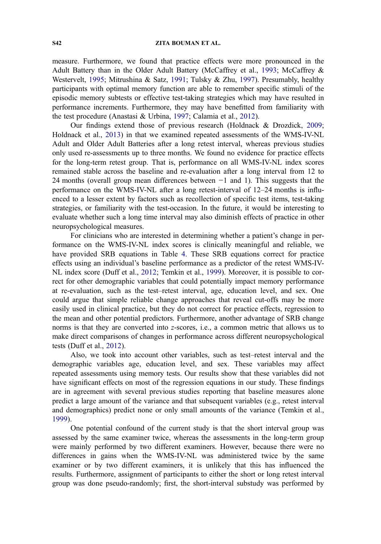measure. Furthermore, we found that practice effects were more pronounced in the Adult Battery than in the Older Adult Battery (McCaffrey et al., [1993;](#page-16-0) McCaffrey & Westervelt, [1995;](#page-16-0) Mitrushina & Satz, [1991;](#page-16-0) Tulsky & Zhu, [1997](#page-17-0)). Presumably, healthy participants with optimal memory function are able to remember specific stimuli of the episodic memory subtests or effective test-taking strategies which may have resulted in performance increments. Furthermore, they may have benefitted from familiarity with the test procedure (Anastasi & Urbina, [1997;](#page-15-0) Calamia et al., [2012\)](#page-15-0).

Our findings extend those of previous research (Holdnack & Drozdick, [2009;](#page-16-0) Holdnack et al., [2013](#page-16-0)) in that we examined repeated assessments of the WMS-IV-NL Adult and Older Adult Batteries after a long retest interval, whereas previous studies only used re-assessments up to three months. We found no evidence for practice effects for the long-term retest group. That is, performance on all WMS-IV-NL index scores remained stable across the baseline and re-evaluation after a long interval from 12 to 24 months (overall group mean differences between −1 and 1). This suggests that the performance on the WMS-IV-NL after a long retest-interval of 12–24 months is influenced to a lesser extent by factors such as recollection of specific test items, test-taking strategies, or familiarity with the test-occasion. In the future, it would be interesting to evaluate whether such a long time interval may also diminish effects of practice in other neuropsychological measures.

For clinicians who are interested in determining whether a patient's change in performance on the WMS-IV-NL index scores is clinically meaningful and reliable, we have provided SRB equations in Table [4.](#page-11-0) These SRB equations correct for practice effects using an individual's baseline performance as a predictor of the retest WMS-IV-NL index score (Duff et al., [2012;](#page-16-0) Temkin et al., [1999\)](#page-17-0). Moreover, it is possible to correct for other demographic variables that could potentially impact memory performance at re-evaluation, such as the test–retest interval, age, education level, and sex. One could argue that simple reliable change approaches that reveal cut-offs may be more easily used in clinical practice, but they do not correct for practice effects, regression to the mean and other potential predictors. Furthermore, another advantage of SRB change norms is that they are converted into z-scores, i.e., a common metric that allows us to make direct comparisons of changes in performance across different neuropsychological tests (Duff et al., [2012](#page-16-0)).

Also, we took into account other variables, such as test–retest interval and the demographic variables age, education level, and sex. These variables may affect repeated assessments using memory tests. Our results show that these variables did not have significant effects on most of the regression equations in our study. These findings are in agreement with several previous studies reporting that baseline measures alone predict a large amount of the variance and that subsequent variables (e.g., retest interval and demographics) predict none or only small amounts of the variance (Temkin et al., [1999\)](#page-17-0).

One potential confound of the current study is that the short interval group was assessed by the same examiner twice, whereas the assessments in the long-term group were mainly performed by two different examiners. However, because there were no differences in gains when the WMS-IV-NL was administered twice by the same examiner or by two different examiners, it is unlikely that this has influenced the results. Furthermore, assignment of participants to either the short or long retest interval group was done pseudo-randomly; first, the short-interval substudy was performed by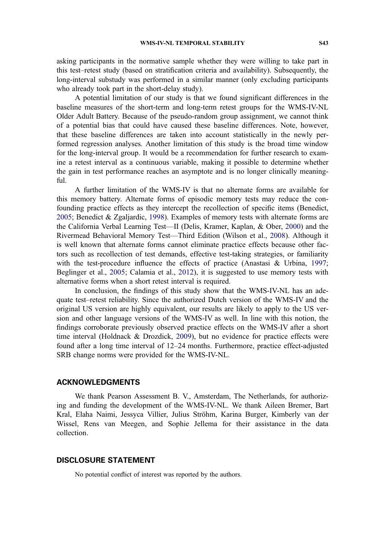asking participants in the normative sample whether they were willing to take part in this test–retest study (based on stratification criteria and availability). Subsequently, the long-interval substudy was performed in a similar manner (only excluding participants who already took part in the short-delay study).

A potential limitation of our study is that we found significant differences in the baseline measures of the short-term and long-term retest groups for the WMS-IV-NL Older Adult Battery. Because of the pseudo-random group assignment, we cannot think of a potential bias that could have caused these baseline differences. Note, however, that these baseline differences are taken into account statistically in the newly performed regression analyses. Another limitation of this study is the broad time window for the long-interval group. It would be a recommendation for further research to examine a retest interval as a continuous variable, making it possible to determine whether the gain in test performance reaches an asymptote and is no longer clinically meaningful.

A further limitation of the WMS-IV is that no alternate forms are available for this memory battery. Alternate forms of episodic memory tests may reduce the confounding practice effects as they intercept the recollection of specific items (Benedict, [2005;](#page-15-0) Benedict & Zgaljardic, [1998](#page-15-0)). Examples of memory tests with alternate forms are the California Verbal Learning Test—II (Delis, Kramer, Kaplan, & Ober, [2000\)](#page-15-0) and the Rivermead Behavioral Memory Test—Third Edition (Wilson et al., [2008\)](#page-17-0). Although it is well known that alternate forms cannot eliminate practice effects because other factors such as recollection of test demands, effective test-taking strategies, or familiarity with the test-procedure influence the effects of practice (Anastasi & Urbina, [1997](#page-15-0); Beglinger et al., [2005;](#page-15-0) Calamia et al., [2012\)](#page-15-0), it is suggested to use memory tests with alternative forms when a short retest interval is required.

In conclusion, the findings of this study show that the WMS-IV-NL has an adequate test–retest reliability. Since the authorized Dutch version of the WMS-IV and the original US version are highly equivalent, our results are likely to apply to the US version and other language versions of the WMS-IV as well. In line with this notion, the findings corroborate previously observed practice effects on the WMS-IV after a short time interval (Holdnack & Drozdick, [2009\)](#page-16-0), but no evidence for practice effects were found after a long time interval of 12–24 months. Furthermore, practice effect-adjusted SRB change norms were provided for the WMS-IV-NL.

#### ACKNOWLEDGMENTS

We thank Pearson Assessment B. V., Amsterdam, The Netherlands, for authorizing and funding the development of the WMS-IV-NL. We thank Aileen Bremer, Bart Kral, Elaha Naimi, Jessyca Villier, Julius Ströhm, Karina Burger, Kimberly van der Wissel, Rens van Meegen, and Sophie Jellema for their assistance in the data collection.

## DISCLOSURE STATEMENT

No potential conflict of interest was reported by the authors.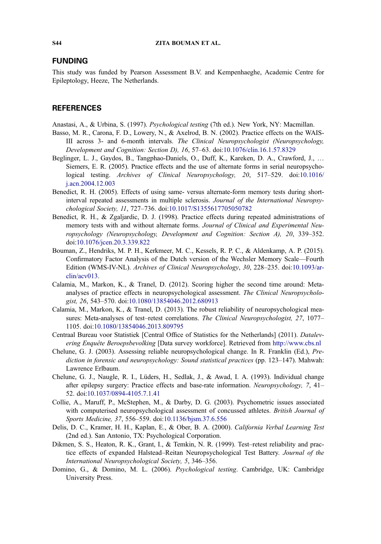## <span id="page-15-0"></span>FUNDING

This study was funded by Pearson Assessment B.V. and Kempenhaeghe, Academic Centre for Epileptology, Heeze, The Netherlands.

## **REFERENCES**

- Anastasi, A., & Urbina, S. (1997). Psychological testing (7th ed.). New York, NY: Macmillan.
- Basso, M. R., Carona, F. D., Lowery, N., & Axelrod, B. N. (2002). Practice effects on the WAIS-III across 3- and 6-month intervals. The Clinical Neuropsychologist (Neuropsychology, Development and Cognition: Section D), 16, 57–63. doi[:10.1076/clin.16.1.57.8329](http://dx.doi.org/10.1076/clin.16.1.57.8329)
- Beglinger, L. J., Gaydos, B., Tangphao-Daniels, O., Duff, K., Kareken, D. A., Crawford, J., … Siemers, E. R. (2005). Practice effects and the use of alternate forms in serial neuropsychological testing. Archives of Clinical Neuropsychology, 20, 517–529. doi:[10.1016/](http://dx.doi.org/10.1016/j.acn.2004.12.003) [j.acn.2004.12.003](http://dx.doi.org/10.1016/j.acn.2004.12.003)
- Benedict, R. H. (2005). Effects of using same- versus alternate-form memory tests during shortinterval repeated assessments in multiple sclerosis. Journal of the International Neuropsychological Society, 11, 727–736. doi[:10.1017/S1355617705050782](http://dx.doi.org/10.1017/S1355617705050782)
- Benedict, R. H., & Zgaljardic, D. J. (1998). Practice effects during repeated administrations of memory tests with and without alternate forms. Journal of Clinical and Experimental Neuropsychology (Neuropsychology, Development and Cognition: Section A), 20, 339–352. doi:[10.1076/jcen.20.3.339.822](http://dx.doi.org/10.1076/jcen.20.3.339.822)
- Bouman, Z., Hendriks, M. P. H., Kerkmeer, M. C., Kessels, R. P. C., & Aldenkamp, A. P. (2015). Confirmatory Factor Analysis of the Dutch version of the Wechsler Memory Scale—Fourth Edition (WMS-IV-NL). Archives of Clinical Neuropsychology, 30, 228–235. doi[:10.1093/ar](http://dx.doi.org/10.1093/arclin/acv013)[clin/acv013.](http://dx.doi.org/10.1093/arclin/acv013)
- Calamia, M., Markon, K., & Tranel, D. (2012). Scoring higher the second time around: Metaanalyses of practice effects in neuropsychological assessment. The Clinical Neuropsychologist, 26, 543–570. doi:[10.1080/13854046.2012.680913](http://dx.doi.org/10.1080/13854046.2012.680913)
- Calamia, M., Markon, K., & Tranel, D. (2013). The robust reliability of neuropsychological measures: Meta-analyses of test–retest correlations. The Clinical Neuropsychologist, 27, 1077– 1105. doi[:10.1080/13854046.2013.809795](http://dx.doi.org/10.1080/13854046.2013.809795)
- Centraal Bureau voor Statistiek [Central Office of Statistics for the Netherlands] (2011). Datalevering Enquête Beroepsbevolking [Data survey workforce]. Retrieved from <http://www.cbs.nl>
- Chelune, G. J. (2003). Assessing reliable neuropsychological change. In R. Franklin (Ed.), Prediction in forensic and neuropsychology: Sound statistical practices (pp. 123–147). Mahwah: Lawrence Erlbaum.
- Chelune, G. J., Naugle, R. I., Lüders, H., Sedlak, J., & Awad, I. A. (1993). Individual change after epilepsy surgery: Practice effects and base-rate information. Neuropsychology, 7, 41– 52. doi:[10.1037/0894-4105.7.1.41](http://dx.doi.org/10.1037/0894-4105.7.1.41)
- Collie, A., Maruff, P., McStephen, M., & Darby, D. G. (2003). Psychometric issues associated with computerised neuropsychological assessment of concussed athletes. British Journal of Sports Medicine, 37, 556–559. doi[:10.1136/bjsm.37.6.556](http://dx.doi.org/10.1136/bjsm.37.6.556)
- Delis, D. C., Kramer, H. H., Kaplan, E., & Ober, B. A. (2000). California Verbal Learning Test (2nd ed.). San Antonio, TX: Psychological Corporation.
- Dikmen, S. S., Heaton, R. K., Grant, I., & Temkin, N. R. (1999). Test–retest reliability and practice effects of expanded Halstead–Reitan Neuropsychological Test Battery. Journal of the International Neuropsychological Society, 5, 346–356.
- Domino, G., & Domino, M. L. (2006). Psychological testing. Cambridge, UK: Cambridge University Press.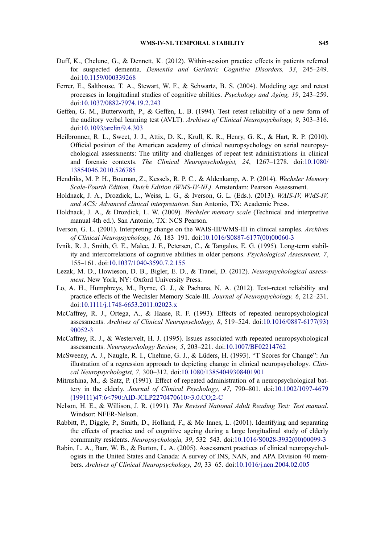- <span id="page-16-0"></span>Duff, K., Chelune, G., & Dennett, K. (2012). Within-session practice effects in patients referred for suspected dementia. Dementia and Geriatric Cognitive Disorders, 33, 245–249. doi:[10.1159/000339268](http://dx.doi.org/10.1159/000339268)
- Ferrer, E., Salthouse, T. A., Stewart, W. F., & Schwartz, B. S. (2004). Modeling age and retest processes in longitudinal studies of cognitive abilities. Psychology and Aging, 19, 243–259. doi:[10.1037/0882-7974.19.2.243](http://dx.doi.org/10.1037/0882-7974.19.2.243)
- Geffen, G. M., Butterworth, P., & Geffen, L. B. (1994). Test–retest reliability of a new form of the auditory verbal learning test (AVLT). Archives of Clinical Neuropsychology, 9, 303–316. doi:[10.1093/arclin/9.4.303](http://dx.doi.org/10.1093/arclin/9.4.303)
- Heilbronner, R. L., Sweet, J. J., Attix, D. K., Krull, K. R., Henry, G. K., & Hart, R. P. (2010). Official position of the American academy of clinical neuropsychology on serial neuropsychological assessments: The utility and challenges of repeat test administrations in clinical and forensic contexts. The Clinical Neuropsychologist, 24, 1267–1278. doi[:10.1080/](http://dx.doi.org/10.1080/13854046.2010.526785) [13854046.2010.526785](http://dx.doi.org/10.1080/13854046.2010.526785)
- Hendriks, M. P. H., Bouman, Z., Kessels, R. P. C., & Aldenkamp, A. P. (2014). Wechsler Memory Scale-Fourth Edition, Dutch Edition (WMS-IV-NL). Amsterdam: Pearson Assessment.
- Holdnack, J. A., Drozdick, L., Weiss, L. G., & Iverson, G. L. (Eds.). (2013). WAIS-IV, WMS-IV, and ACS: Advanced clinical interpretation. San Antonio, TX: Academic Press.
- Holdnack, J. A., & Drozdick, L. W. (2009). Wechsler memory scale (Technical and interpretive manual 4th ed.). San Antonio, TX: NCS Pearson.
- Iverson, G. L. (2001). Interpreting change on the WAIS-III/WMS-III in clinical samples. Archives of Clinical Neuropsychology, 16, 183–191. doi:[10.1016/S0887-6177\(00\)00060-3](http://dx.doi.org/10.1016/S0887-6177(00)00060-3)
- Ivnik, R. J., Smith, G. E., Malec, J. F., Petersen, C., & Tangalos, E. G. (1995). Long-term stability and intercorrelations of cognitive abilities in older persons. Psychological Assessment, 7, 155–161. doi:[10.1037/1040-3590.7.2.155](http://dx.doi.org/10.1037/1040-3590.7.2.155)
- Lezak, M. D., Howieson, D. B., Bigler, E. D., & Tranel, D. (2012). Neuropsychological assessment. New York, NY: Oxford University Press.
- Lo, A. H., Humphreys, M., Byrne, G. J., & Pachana, N. A. (2012). Test–retest reliability and practice effects of the Wechsler Memory Scale-III. Journal of Neuropsychology, 6, 212–231. doi:[10.1111/j.1748-6653.2011.02023.x](http://dx.doi.org/10.1111/j.1748-6653.2011.02023.x)
- McCaffrey, R. J., Ortega, A., & Haase, R. F. (1993). Effects of repeated neuropsychological assessments. Archives of Clinical Neuropsychology, 8, 519–524. doi:[10.1016/0887-6177\(93\)](http://dx.doi.org/10.1016/0887-6177(93)90052-3) [90052-3](http://dx.doi.org/10.1016/0887-6177(93)90052-3)
- McCaffrey, R. J., & Westervelt, H. J. (1995). Issues associated with repeated neuropsychological assessments. Neuropsychology Review, 5, 203–221. doi[:10.1007/BF02214762](http://dx.doi.org/10.1007/BF02214762)
- McSweeny, A. J., Naugle, R. I., Chelune, G. J., & Lüders, H. (1993). "T Scores for Change": An illustration of a regression approach to depicting change in clinical neuropsychology. Clinical Neuropsychologist, 7, 300–312. doi[:10.1080/13854049308401901](http://dx.doi.org/10.1080/13854049308401901)
- Mitrushina, M., & Satz, P. (1991). Effect of repeated administration of a neuropsychological battery in the elderly. Journal of Clinical Psychology, 47, 790–801. doi:[10.1002/1097-4679](http://dx.doi.org/10.1002/1097-4679(199111)47:6<790:AID-JCLP2270470610>3.0.CO;2-C) [\(199111\)47:6<790:AID-JCLP2270470610>3.0.CO;2-C](http://dx.doi.org/10.1002/1097-4679(199111)47:6<790:AID-JCLP2270470610>3.0.CO;2-C)
- Nelson, H. E., & Willison, J. R. (1991). The Revised National Adult Reading Test: Test manual. Windsor: NFER-Nelson.
- Rabbitt, P., Diggle, P., Smith, D., Holland, F., & Mc Innes, L. (2001). Identifying and separating the effects of practice and of cognitive ageing during a large longitudinal study of elderly community residents. Neuropsychologia, 39, 532–543. doi[:10.1016/S0028-3932\(00\)00099-3](http://dx.doi.org/10.1016/S0028-3932(00)00099-3)
- Rabin, L. A., Barr, W. B., & Burton, L. A. (2005). Assessment practices of clinical neuropsychologists in the United States and Canada: A survey of INS, NAN, and APA Division 40 members. Archives of Clinical Neuropsychology, 20, 33–65. doi:[10.1016/j.acn.2004.02.005](http://dx.doi.org/10.1016/j.acn.2004.02.005)